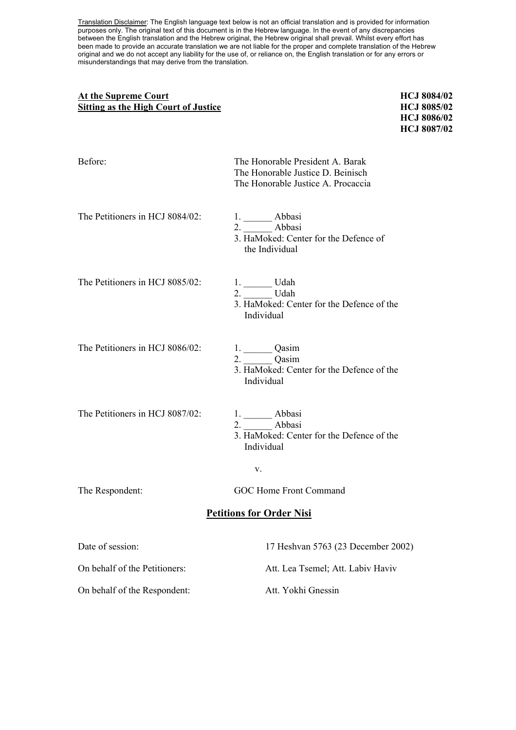Translation Disclaimer: The English language text below is not an official translation and is provided for information purposes only. The original text of this document is in the Hebrew language. In the event of any discrepancies between the English translation and the Hebrew original, the Hebrew original shall prevail. Whilst every effort has been made to provide an accurate translation we are not liable for the proper and complete translation of the Hebrew original and we do not accept any liability for the use of, or reliance on, the English translation or for any errors or misunderstandings that may derive from the translation.

# At the Supreme Court **HCJ** 8084/02 **Sitting as the High Court of Justice HCJ 8085/02**

**HCJ 8086/02 HCJ 8087/02** 

| Before:                         | The Honorable President A. Barak<br>The Honorable Justice D. Beinisch<br>The Honorable Justice A. Procaccia |
|---------------------------------|-------------------------------------------------------------------------------------------------------------|
| The Petitioners in HCJ 8084/02: | 1. ________ Abbasi<br>2. Abbasi<br>3. HaMoked: Center for the Defence of<br>the Individual                  |
| The Petitioners in HCJ 8085/02: | $1.$ Udah<br>2. ________ Udah<br>3. HaMoked: Center for the Defence of the<br>Individual                    |
| The Petitioners in HCJ 8086/02: | 1. Qasim<br>$2.$ Qasim<br>3. HaMoked: Center for the Defence of the<br>Individual                           |
| The Petitioners in HCJ 8087/02: | $\frac{1}{2}$ Abbasi<br>2. Abbasi<br>3. HaMoked: Center for the Defence of the<br>Individual                |
|                                 | V.                                                                                                          |
| The Respondent:                 | GOC Home Front Command                                                                                      |
| <b>Petitions for Order Nisi</b> |                                                                                                             |
| Date of session:                | 17 Heshvan 5763 (23 December 2002)                                                                          |
| On behalf of the Petitioners:   | Att. Lea Tsemel; Att. Labiv Haviv                                                                           |
| On behalf of the Respondent:    | Att. Yokhi Gnessin                                                                                          |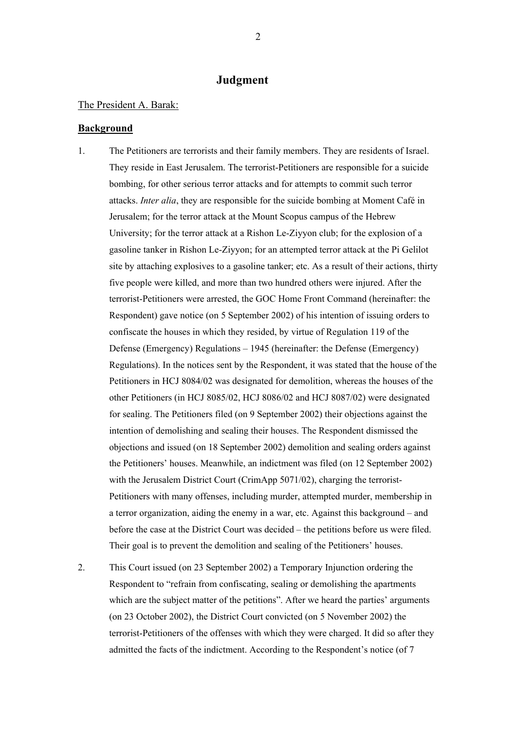# **Judgment**

### The President A. Barak:

## **Background**

- 1. The Petitioners are terrorists and their family members. They are residents of Israel. They reside in East Jerusalem. The terrorist-Petitioners are responsible for a suicide bombing, for other serious terror attacks and for attempts to commit such terror attacks. *Inter alia*, they are responsible for the suicide bombing at Moment Café in Jerusalem; for the terror attack at the Mount Scopus campus of the Hebrew University; for the terror attack at a Rishon Le-Ziyyon club; for the explosion of a gasoline tanker in Rishon Le-Ziyyon; for an attempted terror attack at the Pi Gelilot site by attaching explosives to a gasoline tanker; etc. As a result of their actions, thirty five people were killed, and more than two hundred others were injured. After the terrorist-Petitioners were arrested, the GOC Home Front Command (hereinafter: the Respondent) gave notice (on 5 September 2002) of his intention of issuing orders to confiscate the houses in which they resided, by virtue of Regulation 119 of the Defense (Emergency) Regulations – 1945 (hereinafter: the Defense (Emergency) Regulations). In the notices sent by the Respondent, it was stated that the house of the Petitioners in HCJ 8084/02 was designated for demolition, whereas the houses of the other Petitioners (in HCJ 8085/02, HCJ 8086/02 and HCJ 8087/02) were designated for sealing. The Petitioners filed (on 9 September 2002) their objections against the intention of demolishing and sealing their houses. The Respondent dismissed the objections and issued (on 18 September 2002) demolition and sealing orders against the Petitioners' houses. Meanwhile, an indictment was filed (on 12 September 2002) with the Jerusalem District Court (CrimApp 5071/02), charging the terrorist-Petitioners with many offenses, including murder, attempted murder, membership in a terror organization, aiding the enemy in a war, etc. Against this background – and before the case at the District Court was decided – the petitions before us were filed. Their goal is to prevent the demolition and sealing of the Petitioners' houses.
- 2. This Court issued (on 23 September 2002) a Temporary Injunction ordering the Respondent to "refrain from confiscating, sealing or demolishing the apartments which are the subject matter of the petitions". After we heard the parties' arguments (on 23 October 2002), the District Court convicted (on 5 November 2002) the terrorist-Petitioners of the offenses with which they were charged. It did so after they admitted the facts of the indictment. According to the Respondent's notice (of 7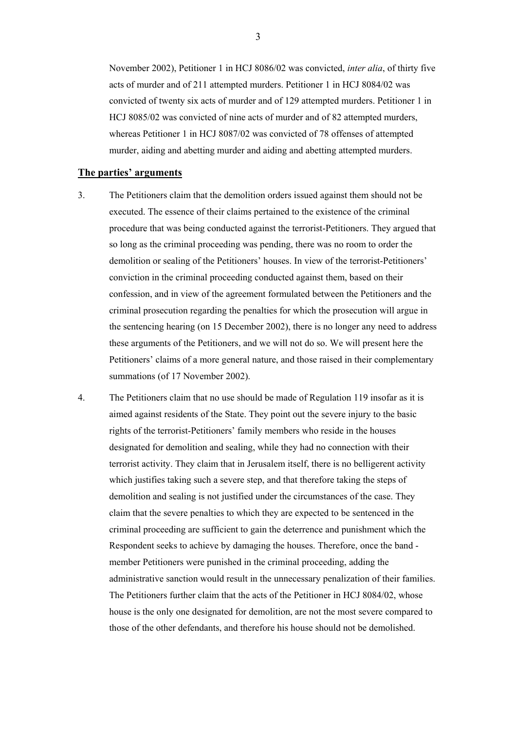November 2002), Petitioner 1 in HCJ 8086/02 was convicted, *inter alia*, of thirty five acts of murder and of 211 attempted murders. Petitioner 1 in HCJ 8084/02 was convicted of twenty six acts of murder and of 129 attempted murders. Petitioner 1 in HCJ 8085/02 was convicted of nine acts of murder and of 82 attempted murders, whereas Petitioner 1 in HCJ 8087/02 was convicted of 78 offenses of attempted murder, aiding and abetting murder and aiding and abetting attempted murders.

#### **The parties' arguments**

- 3. The Petitioners claim that the demolition orders issued against them should not be executed. The essence of their claims pertained to the existence of the criminal procedure that was being conducted against the terrorist-Petitioners. They argued that so long as the criminal proceeding was pending, there was no room to order the demolition or sealing of the Petitioners' houses. In view of the terrorist-Petitioners' conviction in the criminal proceeding conducted against them, based on their confession, and in view of the agreement formulated between the Petitioners and the criminal prosecution regarding the penalties for which the prosecution will argue in the sentencing hearing (on 15 December 2002), there is no longer any need to address these arguments of the Petitioners, and we will not do so. We will present here the Petitioners' claims of a more general nature, and those raised in their complementary summations (of 17 November 2002).
- 4. The Petitioners claim that no use should be made of Regulation 119 insofar as it is aimed against residents of the State. They point out the severe injury to the basic rights of the terrorist-Petitioners' family members who reside in the houses designated for demolition and sealing, while they had no connection with their terrorist activity. They claim that in Jerusalem itself, there is no belligerent activity which justifies taking such a severe step, and that therefore taking the steps of demolition and sealing is not justified under the circumstances of the case. They claim that the severe penalties to which they are expected to be sentenced in the criminal proceeding are sufficient to gain the deterrence and punishment which the Respondent seeks to achieve by damaging the houses. Therefore, once the band member Petitioners were punished in the criminal proceeding, adding the administrative sanction would result in the unnecessary penalization of their families. The Petitioners further claim that the acts of the Petitioner in HCJ 8084/02, whose house is the only one designated for demolition, are not the most severe compared to those of the other defendants, and therefore his house should not be demolished.

3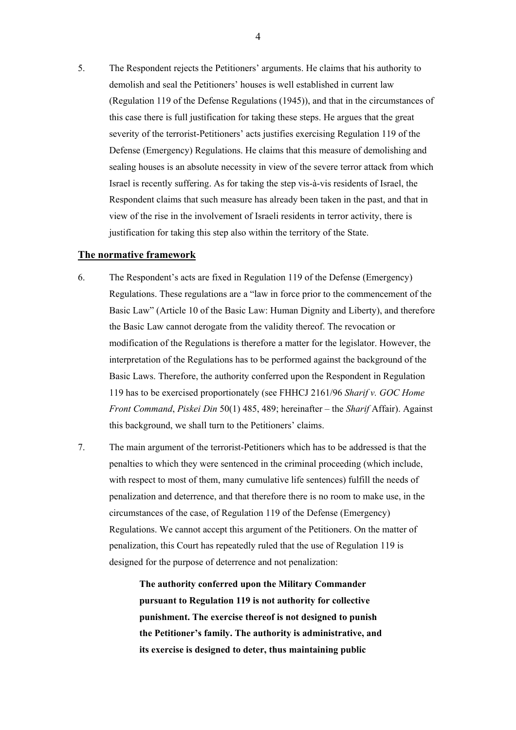5. The Respondent rejects the Petitioners' arguments. He claims that his authority to demolish and seal the Petitioners' houses is well established in current law (Regulation 119 of the Defense Regulations (1945)), and that in the circumstances of this case there is full justification for taking these steps. He argues that the great severity of the terrorist-Petitioners' acts justifies exercising Regulation 119 of the Defense (Emergency) Regulations. He claims that this measure of demolishing and sealing houses is an absolute necessity in view of the severe terror attack from which Israel is recently suffering. As for taking the step vis-à-vis residents of Israel, the Respondent claims that such measure has already been taken in the past, and that in view of the rise in the involvement of Israeli residents in terror activity, there is justification for taking this step also within the territory of the State.

#### **The normative framework**

- 6. The Respondent's acts are fixed in Regulation 119 of the Defense (Emergency) Regulations. These regulations are a "law in force prior to the commencement of the Basic Law" (Article 10 of the Basic Law: Human Dignity and Liberty), and therefore the Basic Law cannot derogate from the validity thereof. The revocation or modification of the Regulations is therefore a matter for the legislator. However, the interpretation of the Regulations has to be performed against the background of the Basic Laws. Therefore, the authority conferred upon the Respondent in Regulation 119 has to be exercised proportionately (see FHHCJ 2161/96 *Sharif v. GOC Home Front Command*, *Piskei Din* 50(1) 485, 489; hereinafter – the *Sharif* Affair). Against this background, we shall turn to the Petitioners' claims.
- 7. The main argument of the terrorist-Petitioners which has to be addressed is that the penalties to which they were sentenced in the criminal proceeding (which include, with respect to most of them, many cumulative life sentences) fulfill the needs of penalization and deterrence, and that therefore there is no room to make use, in the circumstances of the case, of Regulation 119 of the Defense (Emergency) Regulations. We cannot accept this argument of the Petitioners. On the matter of penalization, this Court has repeatedly ruled that the use of Regulation 119 is designed for the purpose of deterrence and not penalization:

**The authority conferred upon the Military Commander pursuant to Regulation 119 is not authority for collective punishment. The exercise thereof is not designed to punish the Petitioner's family. The authority is administrative, and its exercise is designed to deter, thus maintaining public**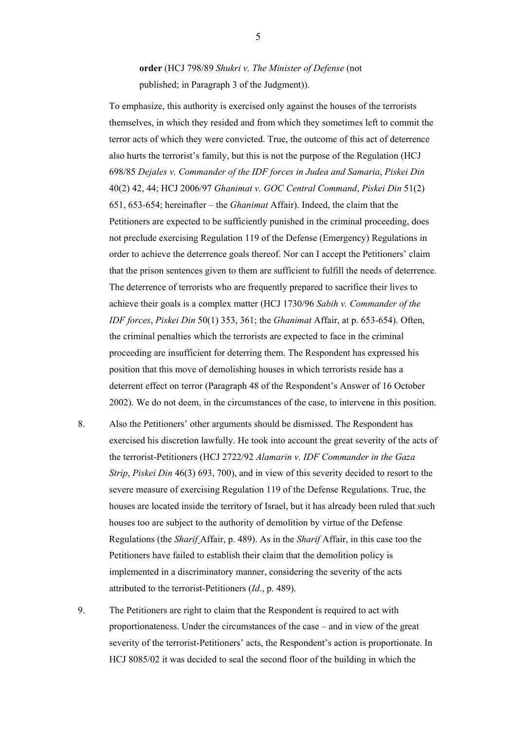**order** (HCJ 798/89 *Shukri v. The Minister of Defense* (not published; in Paragraph 3 of the Judgment)).

To emphasize, this authority is exercised only against the houses of the terrorists themselves, in which they resided and from which they sometimes left to commit the terror acts of which they were convicted. True, the outcome of this act of deterrence also hurts the terrorist's family, but this is not the purpose of the Regulation (HCJ 698/85 *Dejales v. Commander of the IDF forces in Judea and Samaria*, *Piskei Din* 40(2) 42, 44; HCJ 2006/97 *Ghanimat v. GOC Central Command*, *Piskei Din* 51(2) 651, 653-654; hereinafter – the *Ghanimat* Affair). Indeed, the claim that the Petitioners are expected to be sufficiently punished in the criminal proceeding, does not preclude exercising Regulation 119 of the Defense (Emergency) Regulations in order to achieve the deterrence goals thereof. Nor can I accept the Petitioners' claim that the prison sentences given to them are sufficient to fulfill the needs of deterrence. The deterrence of terrorists who are frequently prepared to sacrifice their lives to achieve their goals is a complex matter (HCJ 1730/96 *Sabih v. Commander of the IDF forces*, *Piskei Din* 50(1) 353, 361; the *Ghanimat* Affair, at p. 653-654). Often, the criminal penalties which the terrorists are expected to face in the criminal proceeding are insufficient for deterring them. The Respondent has expressed his position that this move of demolishing houses in which terrorists reside has a deterrent effect on terror (Paragraph 48 of the Respondent's Answer of 16 October 2002). We do not deem, in the circumstances of the case, to intervene in this position.

- 8. Also the Petitioners' other arguments should be dismissed. The Respondent has exercised his discretion lawfully. He took into account the great severity of the acts of the terrorist-Petitioners (HCJ 2722/92 *Alamarin v. IDF Commander in the Gaza Strip*, *Piskei Din* 46(3) 693, 700), and in view of this severity decided to resort to the severe measure of exercising Regulation 119 of the Defense Regulations. True, the houses are located inside the territory of Israel, but it has already been ruled that such houses too are subject to the authority of demolition by virtue of the Defense Regulations (the *Sharif* Affair, p. 489). As in the *Sharif* Affair, in this case too the Petitioners have failed to establish their claim that the demolition policy is implemented in a discriminatory manner, considering the severity of the acts attributed to the terrorist-Petitioners (*Id*., p. 489).
- 9. The Petitioners are right to claim that the Respondent is required to act with proportionateness. Under the circumstances of the case – and in view of the great severity of the terrorist-Petitioners' acts, the Respondent's action is proportionate. In HCJ 8085/02 it was decided to seal the second floor of the building in which the

5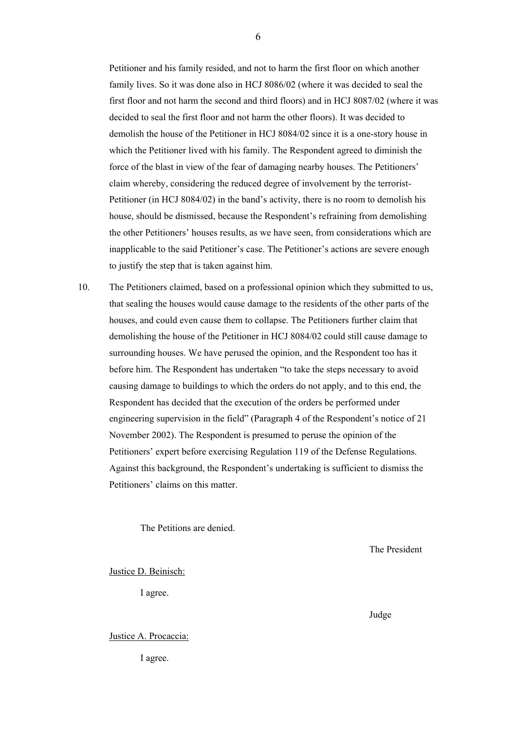Petitioner and his family resided, and not to harm the first floor on which another family lives. So it was done also in HCJ 8086/02 (where it was decided to seal the first floor and not harm the second and third floors) and in HCJ 8087/02 (where it was decided to seal the first floor and not harm the other floors). It was decided to demolish the house of the Petitioner in HCJ 8084/02 since it is a one-story house in which the Petitioner lived with his family. The Respondent agreed to diminish the force of the blast in view of the fear of damaging nearby houses. The Petitioners' claim whereby, considering the reduced degree of involvement by the terrorist-Petitioner (in HCJ 8084/02) in the band's activity, there is no room to demolish his house, should be dismissed, because the Respondent's refraining from demolishing the other Petitioners' houses results, as we have seen, from considerations which are inapplicable to the said Petitioner's case. The Petitioner's actions are severe enough to justify the step that is taken against him.

10. The Petitioners claimed, based on a professional opinion which they submitted to us, that sealing the houses would cause damage to the residents of the other parts of the houses, and could even cause them to collapse. The Petitioners further claim that demolishing the house of the Petitioner in HCJ 8084/02 could still cause damage to surrounding houses. We have perused the opinion, and the Respondent too has it before him. The Respondent has undertaken "to take the steps necessary to avoid causing damage to buildings to which the orders do not apply, and to this end, the Respondent has decided that the execution of the orders be performed under engineering supervision in the field" (Paragraph 4 of the Respondent's notice of 21 November 2002). The Respondent is presumed to peruse the opinion of the Petitioners' expert before exercising Regulation 119 of the Defense Regulations. Against this background, the Respondent's undertaking is sufficient to dismiss the Petitioners' claims on this matter.

*Judge Containers Containers Containers Containers Containers* **<b>***Containers* 

The Petitions are denied.

The President

#### Justice D. Beinisch:

I agree.

Justice A. Procaccia:

I agree.

6